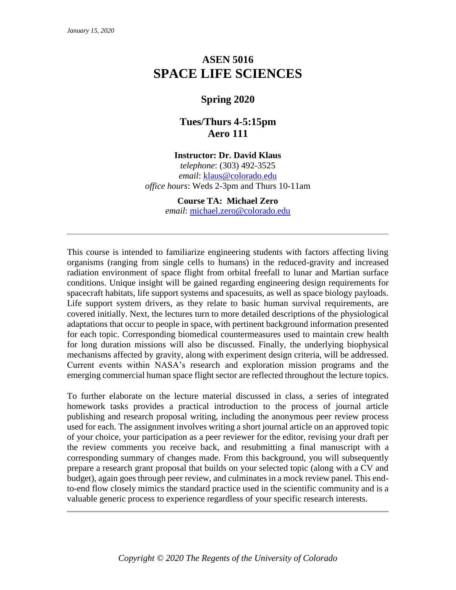# **ASEN 5016 SPACE LIFE SCIENCES**

# **Spring 2020**

# **Tues/Thurs 4-5:15pm Aero 111**

## **Instructor: Dr. David Klaus**

*telephone*: (303) 492-3525 *email*: [klaus@colorado.edu](mailto:klaus@colorado.edu) *office hours*: Weds 2-3pm and Thurs 10-11am

> **Course TA: Michael Zero** *email*: [michael.zero@colorado.edu](mailto:michael.zero@colorado.edu)

This course is intended to familiarize engineering students with factors affecting living organisms (ranging from single cells to humans) in the reduced-gravity and increased radiation environment of space flight from orbital freefall to lunar and Martian surface conditions. Unique insight will be gained regarding engineering design requirements for spacecraft habitats, life support systems and spacesuits, as well as space biology payloads. Life support system drivers, as they relate to basic human survival requirements, are covered initially. Next, the lectures turn to more detailed descriptions of the physiological adaptations that occur to people in space, with pertinent background information presented for each topic. Corresponding biomedical countermeasures used to maintain crew health for long duration missions will also be discussed. Finally, the underlying biophysical mechanisms affected by gravity, along with experiment design criteria, will be addressed. Current events within NASA's research and exploration mission programs and the emerging commercial human space flight sector are reflected throughout the lecture topics.

To further elaborate on the lecture material discussed in class, a series of integrated homework tasks provides a practical introduction to the process of journal article publishing and research proposal writing, including the anonymous peer review process used for each. The assignment involves writing a short journal article on an approved topic of your choice, your participation as a peer reviewer for the editor, revising your draft per the review comments you receive back, and resubmitting a final manuscript with a corresponding summary of changes made. From this background, you will subsequently prepare a research grant proposal that builds on your selected topic (along with a CV and budget), again goes through peer review, and culminates in a mock review panel. This endto-end flow closely mimics the standard practice used in the scientific community and is a valuable generic process to experience regardless of your specific research interests.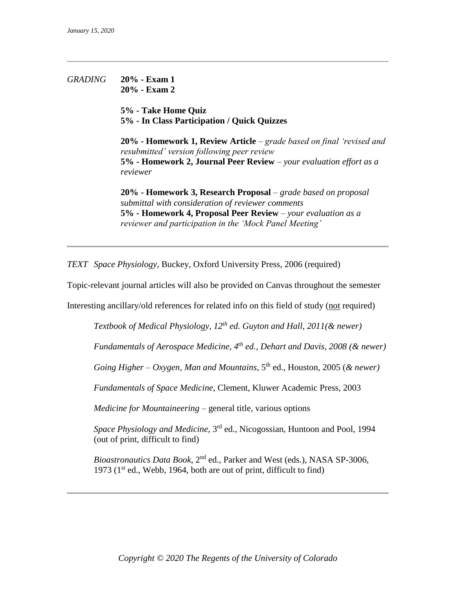## *GRADING* **20% - Exam 1 20% - Exam 2**

**5% - Take Home Quiz 5% - In Class Participation / Quick Quizzes**

**20% - Homework 1, Review Article** – *grade based on final 'revised and resubmitted' version following peer review* **5% - Homework 2, Journal Peer Review** *– your evaluation effort as a reviewer*

**20% - Homework 3, Research Proposal** – *grade based on proposal submittal with consideration of reviewer comments* **5% - Homework 4, Proposal Peer Review** *– your evaluation as a reviewer and participation in the 'Mock Panel Meeting'*

*TEXT Space Physiology*, Buckey, Oxford University Press, 2006 (required)

Topic-relevant journal articles will also be provided on Canvas throughout the semester

Interesting ancillary/old references for related info on this field of study (not required)

*Textbook of Medical Physiology, 12th ed. Guyton and Hall, 2011(& newer)*

*Fundamentals of Aerospace Medicine, 4th ed., Dehart and Davis, 2008 (& newer)*

*Going Higher – Oxygen, Man and Mountains*, 5th ed., Houston, 2005 (*& newer)*

*Fundamentals of Space Medicine*, Clement, Kluwer Academic Press, 2003

*Medicine for Mountaineering* – general title, various options

*Space Physiology and Medicine*, 3rd ed., Nicogossian, Huntoon and Pool, 1994 (out of print, difficult to find)

*Bioastronautics Data Book*, 2nd ed., Parker and West (eds.), NASA SP-3006, 1973 ( $1<sup>st</sup>$  ed., Webb, 1964, both are out of print, difficult to find)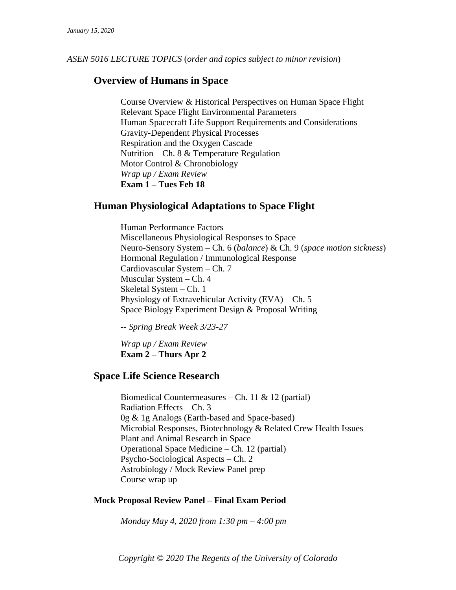*ASEN 5016 LECTURE TOPICS* (*order and topics subject to minor revision*)

# **Overview of Humans in Space**

Course Overview & Historical Perspectives on Human Space Flight Relevant Space Flight Environmental Parameters Human Spacecraft Life Support Requirements and Considerations Gravity-Dependent Physical Processes Respiration and the Oxygen Cascade Nutrition – Ch. 8  $&$  Temperature Regulation Motor Control & Chronobiology *Wrap up / Exam Review* **Exam 1 – Tues Feb 18**

# **Human Physiological Adaptations to Space Flight**

Human Performance Factors Miscellaneous Physiological Responses to Space Neuro-Sensory System – Ch. 6 (*balance*) & Ch. 9 (*space motion sickness*) Hormonal Regulation / Immunological Response Cardiovascular System – Ch. 7 Muscular System – Ch. 4 Skeletal System – Ch. 1 Physiology of Extravehicular Activity (EVA) – Ch. 5 Space Biology Experiment Design & Proposal Writing

*-- Spring Break Week 3/23-27*

*Wrap up / Exam Review* **Exam 2 – Thurs Apr 2**

## **Space Life Science Research**

Biomedical Countermeasures – Ch. 11 & 12 (partial) Radiation Effects – Ch. 3 0g & 1g Analogs (Earth-based and Space-based) Microbial Responses, Biotechnology & Related Crew Health Issues Plant and Animal Research in Space Operational Space Medicine – Ch. 12 (partial) Psycho-Sociological Aspects – Ch. 2 Astrobiology / Mock Review Panel prep Course wrap up

## **Mock Proposal Review Panel – Final Exam Period**

*Monday May 4, 2020 from 1:30 pm – 4:00 pm*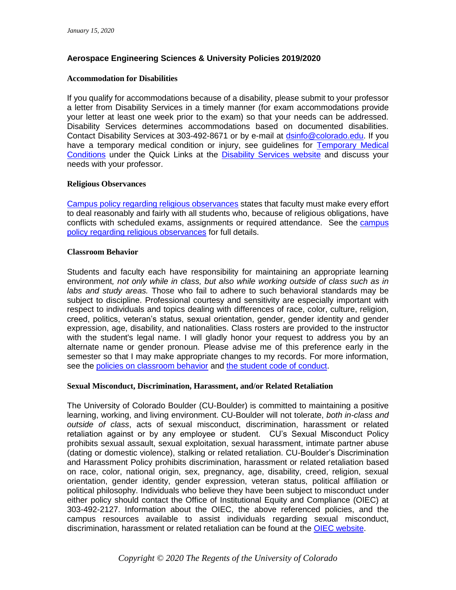## **Aerospace Engineering Sciences & University Policies 2019/2020**

#### **Accommodation for Disabilities**

If you qualify for accommodations because of a disability, please submit to your professor a letter from Disability Services in a timely manner (for exam accommodations provide your letter at least one week prior to the exam) so that your needs can be addressed. Disability Services determines accommodations based on documented disabilities. Contact Disability Services at 303-492-8671 or by e-mail at [dsinfo@colorado.edu.](mailto:dsinfo@colorado.edu) If you have a temporary medical condition or injury, see guidelines for [Temporary Medical](https://www.colorado.edu/disabilityservices/students/temporary-medical-conditions)  [Conditions](https://www.colorado.edu/disabilityservices/students/temporary-medical-conditions) under the Quick Links at the [Disability Services website](https://www.colorado.edu/disabilityservices/) and discuss your needs with your professor.

#### **Religious Observances**

[Campus policy regarding religious observances](https://www.colorado.edu/policies/observance-religious-holidays-and-absences-classes-andor-exams) states that faculty must make every effort to deal reasonably and fairly with all students who, because of religious obligations, have conflicts with scheduled exams, assignments or required attendance. See the [campus](https://www.colorado.edu/policies/observance-religious-holidays-and-absences-classes-andor-exams)  [policy regarding religious observances](https://www.colorado.edu/policies/observance-religious-holidays-and-absences-classes-andor-exams) for full details.

#### **Classroom Behavior**

Students and faculty each have responsibility for maintaining an appropriate learning environment*, not only while in class, but also while working outside of class such as in labs and study areas.* Those who fail to adhere to such behavioral standards may be subject to discipline. Professional courtesy and sensitivity are especially important with respect to individuals and topics dealing with differences of race, color, culture, religion, creed, politics, veteran's status, sexual orientation, gender, gender identity and gender expression, age, disability, and nationalities. Class rosters are provided to the instructor with the student's legal name. I will gladly honor your request to address you by an alternate name or gender pronoun. Please advise me of this preference early in the semester so that I may make appropriate changes to my records. For more information, see the [policies on classroom behavior](https://www.colorado.edu/policies/student-classroom-and-course-related-behavior) and [the student code](https://www.colorado.edu/institutionalequity/student-code-conduct) of conduct.

#### **Sexual Misconduct, Discrimination, Harassment, and/or Related Retaliation**

The University of Colorado Boulder (CU-Boulder) is committed to maintaining a positive learning, working, and living environment. CU-Boulder will not tolerate, *both in-class and outside of class*, acts of sexual misconduct, discrimination, harassment or related retaliation against or by any employee or student. CU's Sexual Misconduct Policy prohibits sexual assault, sexual exploitation, sexual harassment, intimate partner abuse (dating or domestic violence), stalking or related retaliation. CU-Boulder's Discrimination and Harassment Policy prohibits discrimination, harassment or related retaliation based on race, color, national origin, sex, pregnancy, age, disability, creed, religion, sexual orientation, gender identity, gender expression, veteran status, political affiliation or political philosophy. Individuals who believe they have been subject to misconduct under either policy should contact the Office of Institutional Equity and Compliance (OIEC) at 303-492-2127. Information about the OIEC, the above referenced policies, and the campus resources available to assist individuals regarding sexual misconduct, discrimination, harassment or related retaliation can be found at the [OIEC website.](https://www.colorado.edu/institutionalequity/)